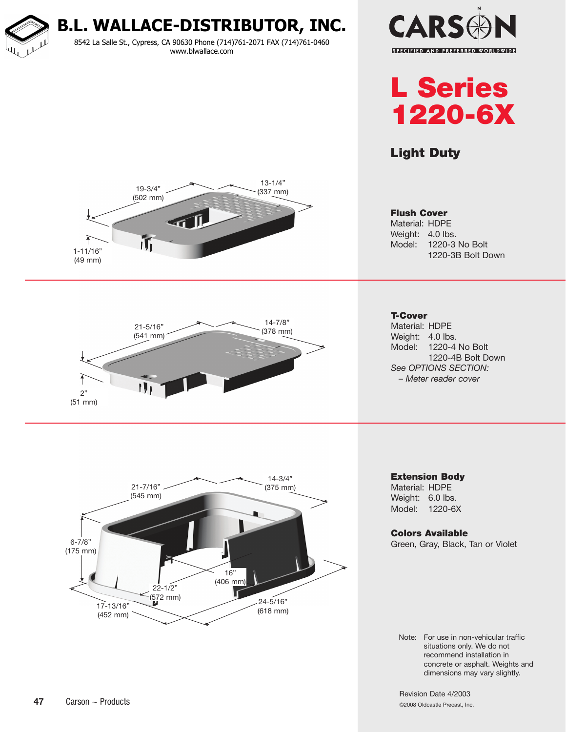**B.L. WALLACE-DISTRIBUTOR, INC.**

8542 La Salle St., Cypress, CA 90630 Phone (714)761-2071 FAX (714)761-0460 www.blwallace.com





## Light Duty

Flush Cover Material: HDPE Weight: 4.0 lbs.







1220-3B Bolt Down

Model: 1220-3 No Bolt

Material: HDPE Weight: 4.0 lbs. Model: 1220-4 No Bolt 1220-4B Bolt Down *See OPTIONS SECTION: – Meter reader cover*

Extension Body

Material: HDPE Weight: 6.0 lbs. Model: 1220-6X

Colors Available

Green, Gray, Black, Tan or Violet

Note: For use in non-vehicular traffic situations only. We do not recommend installation in concrete or asphalt. Weights and dimensions may vary slightly.

Revision Date 4/2003 ©2008 Oldcastle Precast, Inc.